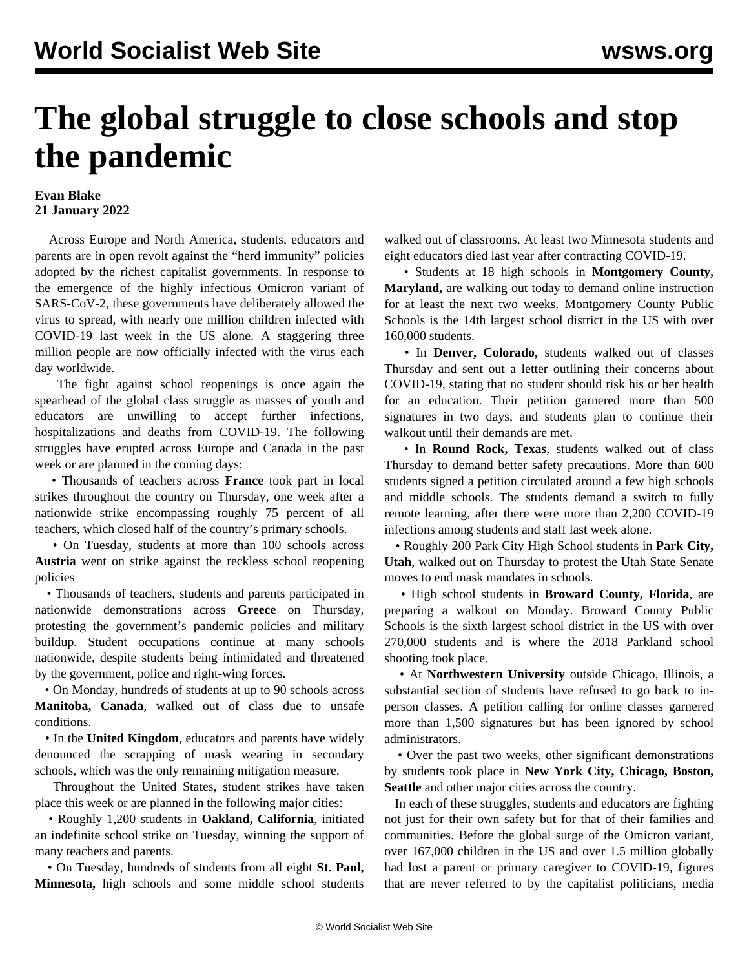## **The global struggle to close schools and stop the pandemic**

## **Evan Blake 21 January 2022**

 Across Europe and North America, students, educators and parents are in open revolt against the "herd immunity" policies adopted by the richest capitalist governments. In response to the emergence of the highly infectious Omicron variant of SARS-CoV-2, these governments have deliberately allowed the virus to spread, with nearly one million children infected with COVID-19 last week in the US alone. A staggering three million people are now officially infected with the virus each day worldwide.

 The fight against school reopenings is once again the spearhead of the global class struggle as masses of youth and educators are unwilling to accept further infections, hospitalizations and deaths from COVID-19. The following struggles have erupted across Europe and Canada in the past week or are planned in the coming days:

 • Thousands of teachers across **France** took part in local strikes throughout the country on Thursday, one week after a nationwide strike encompassing roughly 75 percent of all teachers, which closed half of the country's primary schools.

 • On Tuesday, students at more than 100 schools across **Austria** went on strike against the reckless school reopening policies

 • Thousands of teachers, students and parents participated in nationwide demonstrations across **Greece** on Thursday, protesting the government's pandemic policies and military buildup. Student occupations continue at many schools nationwide, despite students being intimidated and threatened by the government, police and right-wing forces.

 • On Monday, hundreds of students at up to 90 schools across **Manitoba, Canada**, walked out of class due to unsafe conditions.

 • In the **United Kingdom**, educators and parents have widely denounced the scrapping of mask wearing in secondary schools, which was the only remaining mitigation measure.

 Throughout the United States, student strikes have taken place this week or are planned in the following major cities:

 • Roughly 1,200 students in **Oakland, California**, initiated an indefinite school strike on Tuesday, winning the support of many teachers and parents.

 • On Tuesday, hundreds of students from all eight **St. Paul, Minnesota,** high schools and some middle school students

walked out of classrooms. At least two Minnesota students and eight educators died last year after contracting COVID-19.

 • Students at 18 high schools in **Montgomery County, Maryland,** are walking out today to demand online instruction for at least the next two weeks. Montgomery County Public Schools is the 14th largest school district in the US with over 160,000 students.

 • In **Denver, Colorado,** students walked out of classes Thursday and sent out a letter outlining their concerns about COVID-19, stating that no student should risk his or her health for an education. Their petition garnered more than 500 signatures in two days, and students plan to continue their walkout until their demands are met.

 • In **Round Rock, Texas**, students walked out of class Thursday to demand better safety precautions. More than 600 students signed a petition circulated around a few high schools and middle schools. The students demand a switch to fully remote learning, after there were more than 2,200 COVID-19 infections among students and staff last week alone.

 • Roughly 200 Park City High School students in **Park City, Utah**, walked out on Thursday to protest the Utah State Senate moves to end mask mandates in schools.

 • High school students in **Broward County, Florida**, are preparing a walkout on Monday. Broward County Public Schools is the sixth largest school district in the US with over 270,000 students and is where the 2018 Parkland school shooting took place.

 • At **Northwestern University** outside Chicago, Illinois, a substantial section of students have refused to go back to inperson classes. A petition calling for online classes garnered more than 1,500 signatures but has been ignored by school administrators.

 • Over the past two weeks, other significant demonstrations by students took place in **New York City, Chicago, Boston, Seattle** and other major cities across the country.

 In each of these struggles, students and educators are fighting not just for their own safety but for that of their families and communities. Before the global surge of the Omicron variant, over 167,000 children in the US and over 1.5 million globally had lost a parent or primary caregiver to COVID-19, figures that are never referred to by the capitalist politicians, media